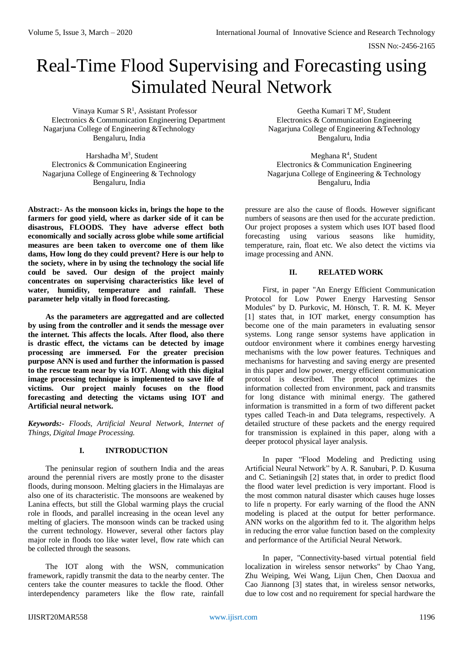ISSN No:-2456-2165

# Real-Time Flood Supervising and Forecasting using Simulated Neural Network

Vinaya Kumar S  $R<sup>1</sup>$ , Assistant Professor Electronics & Communication Engineering Department Electronics & Communication Engineering Nagarjuna College of Engineering &Technology Nagarjuna College of Engineering &Technology Bengaluru, India Bengaluru, India

Harshadha M<sup>3</sup>, Student

**Abstract:- As the monsoon kicks in, brings the hope to the farmers for good yield, where as darker side of it can be disastrous, FLOODS. They have adverse effect both economically and socially across globe while some artificial measures are been taken to overcome one of them like dams, How long do they could prevent? Here is our help to the society, where in by using the technology the social life could be saved. Our design of the project mainly concentrates on supervising characteristics like level of water, humidity, temperature and rainfall. These parameter help vitally in flood forecasting.**

**As the parameters are aggregatted and are collected by using from the controller and it sends the message over the internet. This affects the locals. After flood, also there is drastic effect, the victams can be detected by image processing are immersed. For the greater precision purpose ANN is used and further the information is passed to the rescue team near by via IOT. Along with this digital image processing technique is implemented to save life of victims. Our project mainly focuses on the flood forecasting and detecting the victams using IOT and Artificial neural network.** 

*Keywords:- Floods, Artificial Neural Network, Internet of Things, Digital Image Processing.*

## **I. INTRODUCTION**

The peninsular region of southern India and the areas around the perennial rivers are mostly prone to the disaster floods, during monsoon. Melting glaciers in the Himalayas are also one of its characteristic. The monsoons are weakened by Lanina effects, but still the Global warming plays the crucial role in floods, and parallel increasing in the ocean level any melting of glaciers. The monsoon winds can be tracked using the current technology. However, several other factors play major role in floods too like water level, flow rate which can be collected through the seasons.

The IOT along with the WSN, communication framework, rapidly transmit the data to the nearby center. The centers take the counter measures to tackle the flood. Other interdependency parameters like the flow rate, rainfall

, Assistant Professor Geetha Kumari T  $M^2$ , Student

 $M$ eghana R<sup>4</sup>, Student Electronics & Communication Engineering Electronics & Communication Engineering Nagarjuna College of Engineering & Technology Nagarjuna College of Engineering & Technology Bengaluru, India Bengaluru, India

> pressure are also the cause of floods. However significant numbers of seasons are then used for the accurate prediction. Our project proposes a system which uses IOT based flood forecasting using various seasons like humidity, temperature, rain, float etc. We also detect the victims via image processing and ANN.

## **II. RELATED WORK**

First, in paper "An Energy Efficient Communication Protocol for Low Power Energy Harvesting Sensor Modules" by D. Purkovic, M. Hönsch, T. R. M. K. Meyer [1] states that, in IOT market, energy consumption has become one of the main parameters in evaluating sensor systems. Long range sensor systems have application in outdoor environment where it combines energy harvesting mechanisms with the low power features. Techniques and mechanisms for harvesting and saving energy are presented in this paper and low power, energy efficient communication protocol is described. The protocol optimizes the information collected from environment, pack and transmits for long distance with minimal energy. The gathered information is transmitted in a form of two different packet types called Teach-in and Data telegrams, respectively. A detailed structure of these packets and the energy required for transmission is explained in this paper, along with a deeper protocol physical layer analysis.

In paper "Flood Modeling and Predicting using Artificial Neural Network" by A. R. Sanubari, P. D. Kusuma and C. Setianingsih [2] states that, in order to predict flood the flood water level prediction is very important. Flood is the most common natural disaster which causes huge losses to life n property. For early warning of the flood the ANN modeling is placed at the output for better performance. ANN works on the algorithm fed to it. The algorithm helps in reducing the error value function based on the complexity and performance of the Artificial Neural Network.

In paper, "Connectivity-based virtual potential field localization in wireless sensor networks" by Chao Yang, Zhu Weiping, Wei Wang, Lijun Chen, Chen Daoxua and Cao Jiannong [3] states that, in wireless sensor networks, due to low cost and no requirement for special hardware the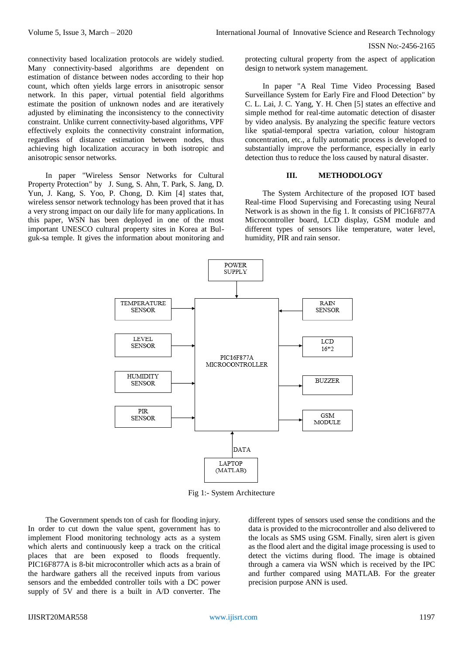connectivity based localization protocols are widely studied. Many connectivity-based algorithms are dependent on estimation of distance between nodes according to their hop count, which often yields large errors in anisotropic sensor network. In this paper, virtual potential field algorithms estimate the position of unknown nodes and are iteratively adjusted by eliminating the inconsistency to the connectivity constraint. Unlike current connectivity-based algorithms, VPF effectively exploits the connectivity constraint information, regardless of distance estimation between nodes, thus achieving high localization accuracy in both isotropic and anisotropic sensor networks.

In paper "Wireless Sensor Networks for Cultural Property Protection" by J. Sung, S. Ahn, T. Park, S. Jang, D. Yun, J. Kang, S. Yoo, P. Chong, D. Kim [4] states that, wireless sensor network technology has been proved that it has a very strong impact on our daily life for many applications. In this paper, WSN has been deployed in one of the most important UNESCO cultural property sites in Korea at Bulguk-sa temple. It gives the information about monitoring and protecting cultural property from the aspect of application design to network system management.

In paper "A Real Time Video Processing Based Surveillance System for Early Fire and Flood Detection" by C. L. Lai, J. C. Yang, Y. H. Chen [5] states an effective and simple method for real-time automatic detection of disaster by video analysis. By analyzing the specific feature vectors like spatial-temporal spectra variation, colour histogram concentration, etc., a fully automatic process is developed to substantially improve the performance, especially in early detection thus to reduce the loss caused by natural disaster.

### **III. METHODOLOGY**

The System Architecture of the proposed IOT based Real-time Flood Supervising and Forecasting using Neural Network is as shown in the fig 1. It consists of PIC16F877A Microcontroller board, LCD display, GSM module and different types of sensors like temperature, water level, humidity, PIR and rain sensor.



Fig 1:- System Architecture

The Government spends ton of cash for flooding injury. In order to cut down the value spent, government has to implement Flood monitoring technology acts as a system which alerts and continuously keep a track on the critical places that are been exposed to floods frequently. PIC16F877A is 8-bit microcontroller which acts as a brain of the hardware gathers all the received inputs from various sensors and the embedded controller toils with a DC power supply of 5V and there is a built in A/D converter. The

different types of sensors used sense the conditions and the data is provided to the microcontroller and also delivered to the locals as SMS using GSM. Finally, siren alert is given as the flood alert and the digital image processing is used to detect the victims during flood. The image is obtained through a camera via WSN which is received by the IPC and further compared using MATLAB. For the greater precision purpose ANN is used.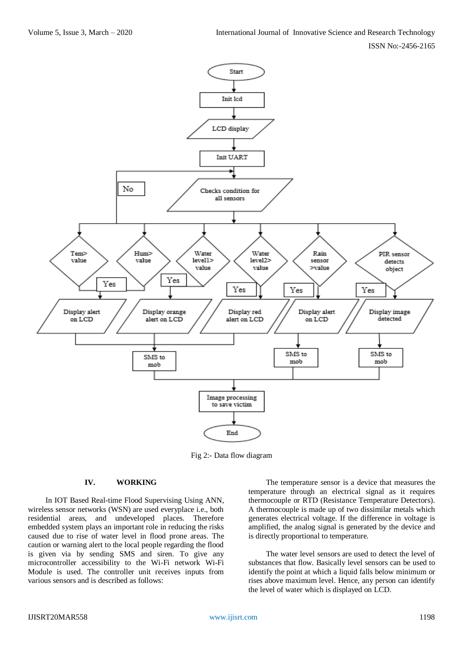

Fig 2:- Data flow diagram

## **IV. WORKING**

In IOT Based Real-time Flood Supervising Using ANN, wireless sensor networks (WSN) are used everyplace i.e., both residential areas, and undeveloped places. Therefore embedded system plays an important role in reducing the risks caused due to rise of water level in flood prone areas. The caution or warning alert to the local people regarding the flood is given via by sending SMS and siren. To give any microcontroller accessibility to the Wi-Fi network Wi-Fi Module is used. The controller unit receives inputs from various sensors and is described as follows:

The temperature sensor is a device that measures the temperature through an electrical signal as it requires thermocouple or RTD (Resistance Temperature Detectors). A thermocouple is made up of two dissimilar metals which generates electrical voltage. If the difference in voltage is amplified, the analog signal is generated by the device and is directly proportional to temperature.

The water level sensors are used to detect the level of substances that flow. Basically level sensors can be used to identify the point at which a liquid falls below minimum or rises above maximum level. Hence, any person can identify the level of water which is displayed on LCD.